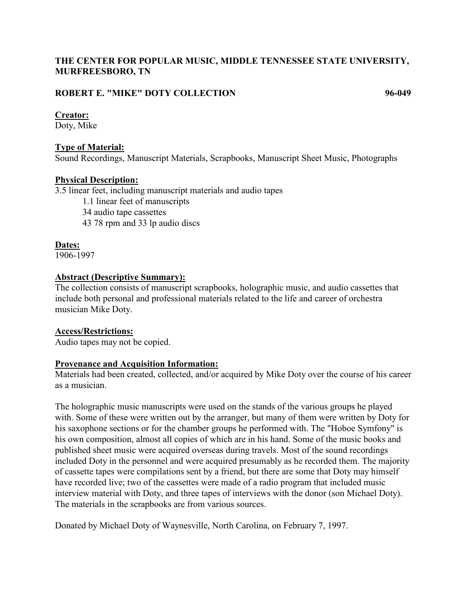# **THE CENTER FOR POPULAR MUSIC, MIDDLE TENNESSEE STATE UNIVERSITY, MURFREESBORO, TN**

# **ROBERT E. "MIKE" DOTY COLLECTION 96-049**

#### **Creator:**

Doty, Mike

### **Type of Material:**

Sound Recordings, Manuscript Materials, Scrapbooks, Manuscript Sheet Music, Photographs

#### **Physical Description:**

3.5 linear feet, including manuscript materials and audio tapes

1.1 linear feet of manuscripts

34 audio tape cassettes

43 78 rpm and 33 lp audio discs

### **Dates:**

1906-1997

# **Abstract (Descriptive Summary):**

The collection consists of manuscript scrapbooks, holographic music, and audio cassettes that include both personal and professional materials related to the life and career of orchestra musician Mike Doty.

### **Access/Restrictions:**

Audio tapes may not be copied.

### **Provenance and Acquisition Information:**

Materials had been created, collected, and/or acquired by Mike Doty over the course of his career as a musician.

The holographic music manuscripts were used on the stands of the various groups he played with. Some of these were written out by the arranger, but many of them were written by Doty for his saxophone sections or for the chamber groups he performed with. The "Hoboe Symfony" is his own composition, almost all copies of which are in his hand. Some of the music books and published sheet music were acquired overseas during travels. Most of the sound recordings included Doty in the personnel and were acquired presumably as he recorded them. The majority of cassette tapes were compilations sent by a friend, but there are some that Doty may himself have recorded live; two of the cassettes were made of a radio program that included music interview material with Doty, and three tapes of interviews with the donor (son Michael Doty). The materials in the scrapbooks are from various sources.

Donated by Michael Doty of Waynesville, North Carolina, on February 7, 1997.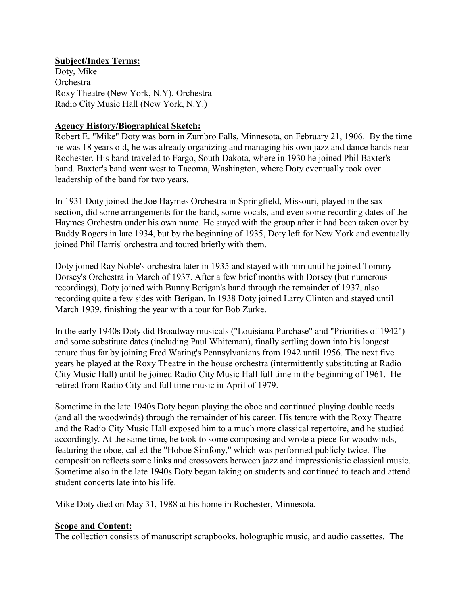# **Subject/Index Terms:**

Doty, Mike Orchestra Roxy Theatre (New York, N.Y). Orchestra Radio City Music Hall (New York, N.Y.)

# **Agency History/Biographical Sketch:**

Robert E. "Mike" Doty was born in Zumbro Falls, Minnesota, on February 21, 1906. By the time he was 18 years old, he was already organizing and managing his own jazz and dance bands near Rochester. His band traveled to Fargo, South Dakota, where in 1930 he joined Phil Baxter's band. Baxter's band went west to Tacoma, Washington, where Doty eventually took over leadership of the band for two years.

In 1931 Doty joined the Joe Haymes Orchestra in Springfield, Missouri, played in the sax section, did some arrangements for the band, some vocals, and even some recording dates of the Haymes Orchestra under his own name. He stayed with the group after it had been taken over by Buddy Rogers in late 1934, but by the beginning of 1935, Doty left for New York and eventually joined Phil Harris' orchestra and toured briefly with them.

Doty joined Ray Noble's orchestra later in 1935 and stayed with him until he joined Tommy Dorsey's Orchestra in March of 1937. After a few brief months with Dorsey (but numerous recordings), Doty joined with Bunny Berigan's band through the remainder of 1937, also recording quite a few sides with Berigan. In 1938 Doty joined Larry Clinton and stayed until March 1939, finishing the year with a tour for Bob Zurke.

In the early 1940s Doty did Broadway musicals ("Louisiana Purchase" and "Priorities of 1942") and some substitute dates (including Paul Whiteman), finally settling down into his longest tenure thus far by joining Fred Waring's Pennsylvanians from 1942 until 1956. The next five years he played at the Roxy Theatre in the house orchestra (intermittently substituting at Radio City Music Hall) until he joined Radio City Music Hall full time in the beginning of 1961. He retired from Radio City and full time music in April of 1979.

Sometime in the late 1940s Doty began playing the oboe and continued playing double reeds (and all the woodwinds) through the remainder of his career. His tenure with the Roxy Theatre and the Radio City Music Hall exposed him to a much more classical repertoire, and he studied accordingly. At the same time, he took to some composing and wrote a piece for woodwinds, featuring the oboe, called the "Hoboe Simfony," which was performed publicly twice. The composition reflects some links and crossovers between jazz and impressionistic classical music. Sometime also in the late 1940s Doty began taking on students and continued to teach and attend student concerts late into his life.

Mike Doty died on May 31, 1988 at his home in Rochester, Minnesota.

# **Scope and Content:**

The collection consists of manuscript scrapbooks, holographic music, and audio cassettes. The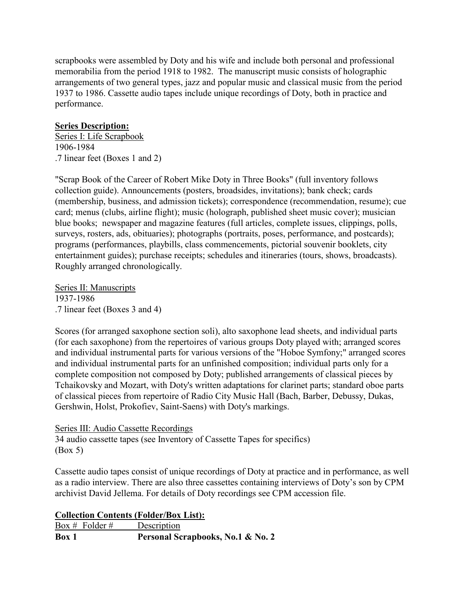scrapbooks were assembled by Doty and his wife and include both personal and professional memorabilia from the period 1918 to 1982. The manuscript music consists of holographic arrangements of two general types, jazz and popular music and classical music from the period 1937 to 1986. Cassette audio tapes include unique recordings of Doty, both in practice and performance.

### **Series Description:**

Series I: Life Scrapbook 1906-1984 .7 linear feet (Boxes 1 and 2)

"Scrap Book of the Career of Robert Mike Doty in Three Books" (full inventory follows collection guide). Announcements (posters, broadsides, invitations); bank check; cards (membership, business, and admission tickets); correspondence (recommendation, resume); cue card; menus (clubs, airline flight); music (holograph, published sheet music cover); musician blue books; newspaper and magazine features (full articles, complete issues, clippings, polls, surveys, rosters, ads, obituaries); photographs (portraits, poses, performance, and postcards); programs (performances, playbills, class commencements, pictorial souvenir booklets, city entertainment guides); purchase receipts; schedules and itineraries (tours, shows, broadcasts). Roughly arranged chronologically.

Series II: Manuscripts 1937-1986 .7 linear feet (Boxes 3 and 4)

Scores (for arranged saxophone section soli), alto saxophone lead sheets, and individual parts (for each saxophone) from the repertoires of various groups Doty played with; arranged scores and individual instrumental parts for various versions of the "Hoboe Symfony;" arranged scores and individual instrumental parts for an unfinished composition; individual parts only for a complete composition not composed by Doty; published arrangements of classical pieces by Tchaikovsky and Mozart, with Doty's written adaptations for clarinet parts; standard oboe parts of classical pieces from repertoire of Radio City Music Hall (Bach, Barber, Debussy, Dukas, Gershwin, Holst, Prokofiev, Saint-Saens) with Doty's markings.

#### Series III: Audio Cassette Recordings

34 audio cassette tapes (see Inventory of Cassette Tapes for specifics) (Box 5)

Cassette audio tapes consist of unique recordings of Doty at practice and in performance, as well as a radio interview. There are also three cassettes containing interviews of Doty's son by CPM archivist David Jellema. For details of Doty recordings see CPM accession file.

### **Collection Contents (Folder/Box List):**

Box # Folder # Description **Box 1 Personal Scrapbooks, No.1 & No. 2**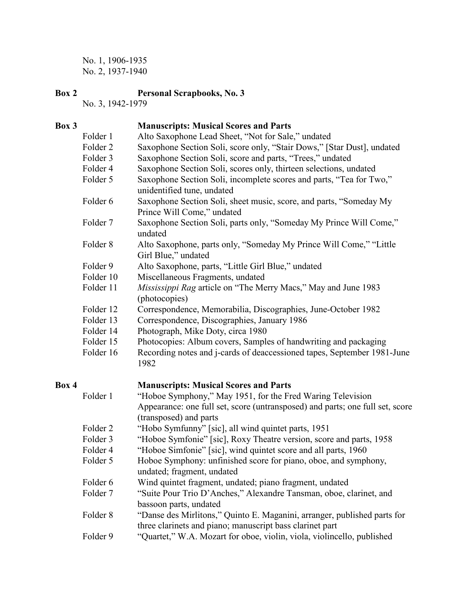No. 1, 1906-1935 No. 2, 1937-1940

# **Box 2 Personal Scrapbooks, No. 3**

No. 3, 1942-1979

# **Box 3 Manuscripts: Musical Scores and Parts**

| DUA J |                     | <b>Manuscripts. Musical Scores and I arts</b>                                                 |
|-------|---------------------|-----------------------------------------------------------------------------------------------|
|       | Folder 1            | Alto Saxophone Lead Sheet, "Not for Sale," undated                                            |
|       | Folder <sub>2</sub> | Saxophone Section Soli, score only, "Stair Dows," [Star Dust], undated                        |
|       | Folder 3            | Saxophone Section Soli, score and parts, "Trees," undated                                     |
|       | Folder 4            | Saxophone Section Soli, scores only, thirteen selections, undated                             |
|       | Folder 5            | Saxophone Section Soli, incomplete scores and parts, "Tea for Two,"                           |
|       |                     | unidentified tune, undated                                                                    |
|       | Folder 6            | Saxophone Section Soli, sheet music, score, and parts, "Someday My                            |
|       |                     | Prince Will Come," undated                                                                    |
|       | Folder 7            | Saxophone Section Soli, parts only, "Someday My Prince Will Come,"<br>undated                 |
|       | Folder <sub>8</sub> | Alto Saxophone, parts only, "Someday My Prince Will Come," "Little<br>Girl Blue," undated     |
|       | Folder 9            | Alto Saxophone, parts, "Little Girl Blue," undated                                            |
|       | Folder 10           | Miscellaneous Fragments, undated                                                              |
|       | Folder 11           | Mississippi Rag article on "The Merry Macs," May and June 1983                                |
|       |                     | (photocopies)                                                                                 |
|       | Folder 12           | Correspondence, Memorabilia, Discographies, June-October 1982                                 |
|       | Folder 13           | Correspondence, Discographies, January 1986                                                   |
|       | Folder 14           | Photograph, Mike Doty, circa 1980                                                             |
|       | Folder 15           | Photocopies: Album covers, Samples of handwriting and packaging                               |
|       | Folder 16           | Recording notes and j-cards of deaccessioned tapes, September 1981-June<br>1982               |
| Box 4 |                     | <b>Manuscripts: Musical Scores and Parts</b>                                                  |
|       | Folder 1            | "Hoboe Symphony," May 1951, for the Fred Waring Television                                    |
|       |                     | Appearance: one full set, score (untransposed) and parts; one full set, score                 |
|       |                     | (transposed) and parts                                                                        |
|       | Folder <sub>2</sub> | "Hobo Symfunny" [sic], all wind quintet parts, 1951                                           |
|       | Folder 3            | "Hoboe Symfonie" [sic], Roxy Theatre version, score and parts, 1958                           |
|       | Folder 4            | "Hoboe Simfonie" [sic], wind quintet score and all parts, 1960                                |
|       | Folder 5            | Hoboe Symphony: unfinished score for piano, oboe, and symphony,<br>undated; fragment, undated |
|       | Folder 6            | Wind quintet fragment, undated; piano fragment, undated                                       |
|       | Folder <sub>7</sub> | "Suite Pour Trio D'Anches," Alexandre Tansman, oboe, clarinet, and                            |
|       |                     |                                                                                               |

- bassoon parts, undated
- Folder 8 "Danse des Mirlitons," Quinto E. Maganini, arranger, published parts for three clarinets and piano; manuscript bass clarinet part
- Folder 9 "Quartet," W.A. Mozart for oboe, violin, viola, violincello, published